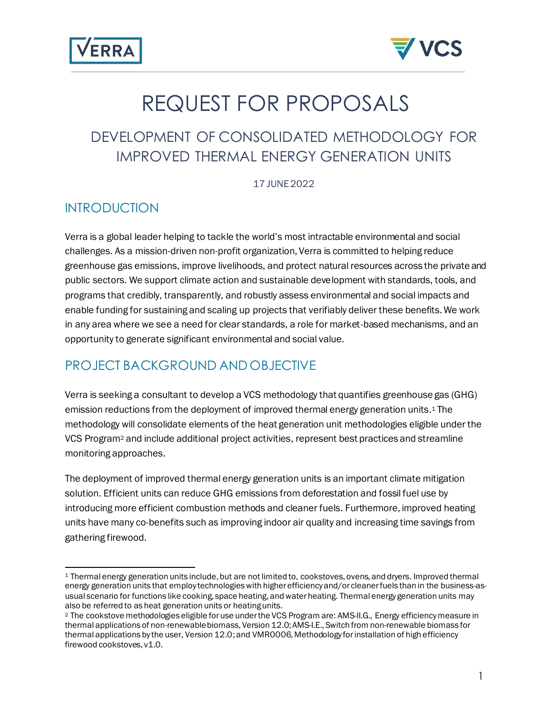



# REQUEST FOR PROPOSALS

## DEVELOPMENT OF CONSOLIDATED METHODOLOGY FOR IMPROVED THERMAL ENERGY GENERATION UNITS

17 JUNE2022

#### **INTRODUCTION**

Verra is a global leader helping to tackle the world's most intractable environmental and social challenges. As a mission-driven non-profit organization, Verra is committed to helping reduce greenhouse gas emissions, improve livelihoods, and protect natural resources across the private and public sectors. We support climate action and sustainable development with standards, tools, and programs that credibly, transparently, and robustly assess environmental and social impacts and enable funding for sustaining and scaling up projects that verifiably deliver these benefits. We work in any area where we see a need for clear standards, a role for market-based mechanisms, and an opportunity to generate significant environmental and social value.

## PROJECT BACKGROUND AND OBJECTIVE

Verra is seeking a consultant to develop a VCS methodology that quantifies greenhouse gas (GHG) emission reductions from the deployment of improved thermal energy generation units. <sup>1</sup> The methodology will consolidate elements of the heat generation unit methodologies eligible under the VCS Program<sup>2</sup> and include additional project activities, represent best practices and streamline monitoring approaches.

The deployment of improved thermal energy generation units is an important climate mitigation solution. Efficient units can reduce GHG emissions from deforestation and fossil fuel use by introducing more efficient combustion methods and cleaner fuels. Furthermore, improved heating units have many co-benefits such as improving indoor air quality and increasing time savings from gathering firewood.

<sup>1</sup> Thermal energy generation units include, but are not limited to, cookstoves, ovens, and dryers. Improved thermal energy generation units that employ technologies with higher efficiency and/or cleaner fuels than in the business-asusual scenario for functions like cooking, space heating, and water heating. Thermal energy generation units may also be referred to as heat generation units or heating units.

<sup>2</sup> The cookstove methodologies eligible for use under the VCS Program are: AMS-II.G., Energy efficiency measure in thermal applications of non-renewable biomass, Version 12.0; AMS-I.E., Switch from non-renewable biomass for thermal applications by the user, Version 12.0; and VMR0006, Methodology for installation of high efficiency firewood cookstoves, v1.0.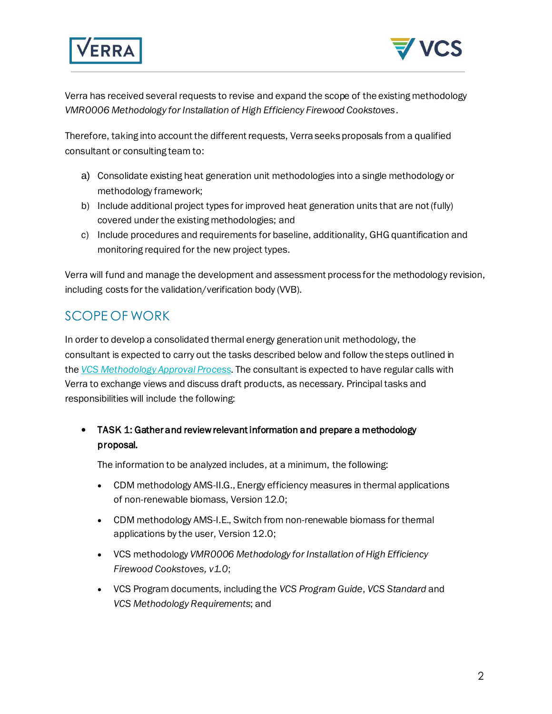



Verra has received several requests to revise and expand the scope of the existing methodology *VMR0006 Methodology for Installation of High Efficiency Firewood Cookstoves*.

Therefore, taking into account the different requests, Verra seeks proposals from a qualified consultant or consulting team to:

- a) Consolidate existing heat generation unit methodologies into a single methodology or methodology framework;
- b) Include additional project types for improved heat generation units that are not (fully) covered under the existing methodologies; and
- c) Include procedures and requirements for baseline, additionality, GHG quantification and monitoring required for the new project types.

Verra will fund and manage the development and assessment process for the methodology revision, including costs for the validation/verification body (VVB).

## SCOPE OF WORK

In order to develop a consolidated thermal energy generation unit methodology, the consultant is expected to carry out the tasks described below and follow the steps outlined in the *VCS Methodology Approval Process*. The consultant is expected to have regular calls with Verra to exchange views and discuss draft products, as necessary. Principal tasks and responsibilities will include the following:

#### • TASK 1: Gather and review relevant information and prepare a methodology proposal.

The information to be analyzed includes, at a minimum, the following:

- CDM methodology AMS-II.G., Energy efficiency measures in thermal applications of non-renewable biomass, Version 12.0;
- CDM methodology AMS-I.E., Switch from non-renewable biomass for thermal applications by the user, Version 12.0;
- VCS methodology *VMR0006 Methodology for Installation of High Efficiency Firewood Cookstoves, v1.0*;
- VCS Program documents, including the *VCS Program Guide*, *VCS Standard* and *VCS Methodology Requirements*; and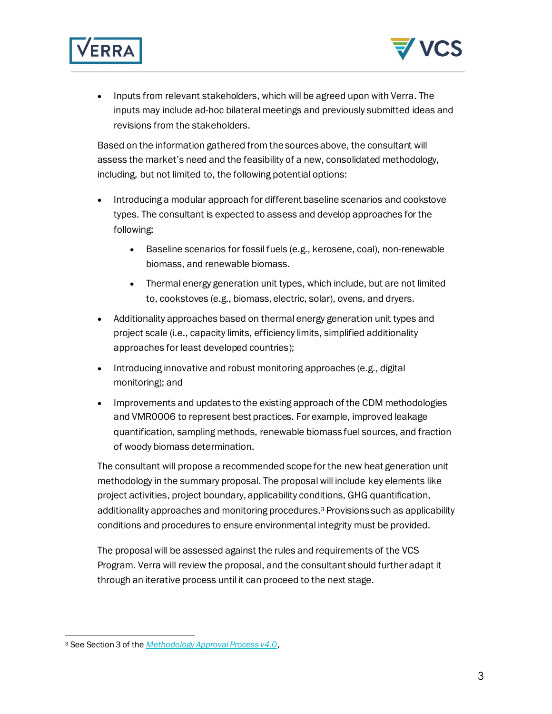



• Inputs from relevant stakeholders, which will be agreed upon with Verra. The inputs may include ad-hoc bilateral meetings and previously submitted ideas and revisions from the stakeholders.

Based on the information gathered from the sources above, the consultant will assess the market's need and the feasibility of a new, consolidated methodology, including, but not limited to, the following potential options:

- Introducing a modular approach for different baseline scenarios and cookstove types. The consultant is expected to assess and develop approaches for the following:
	- Baseline scenarios for fossil fuels (e.g., kerosene, coal), non-renewable biomass, and renewable biomass.
	- Thermal energy generation unit types, which include, but are not limited to, cookstoves (e.g., biomass, electric, solar), ovens, and dryers.
- Additionality approaches based on thermal energy generation unit types and project scale (i.e., capacity limits, efficiency limits, simplified additionality approaches for least developed countries);
- Introducing innovative and robust monitoring approaches (e.g., digital monitoring); and
- Improvements and updates to the existing approach of the CDM methodologies and VMR0006 to represent best practices. For example, improved leakage quantification, sampling methods, renewable biomass fuel sources, and fraction of woody biomass determination.

The consultant will propose a recommended scope for the new heat generation unit methodology in the summary proposal. The proposal will include key elements like project activities, project boundary, applicability conditions, GHG quantification, additionality approaches and monitoring procedures. <sup>3</sup> Provisions such as applicability conditions and procedures to ensure environmental integrity must be provided.

The proposal will be assessed against the rules and requirements of the VCS Program. Verra will review the proposal, and the consultant should further adapt it through an iterative process until it can proceed to the next stage.

<sup>3</sup> See Section 3 of the *Methodology Approval Process v4.0*,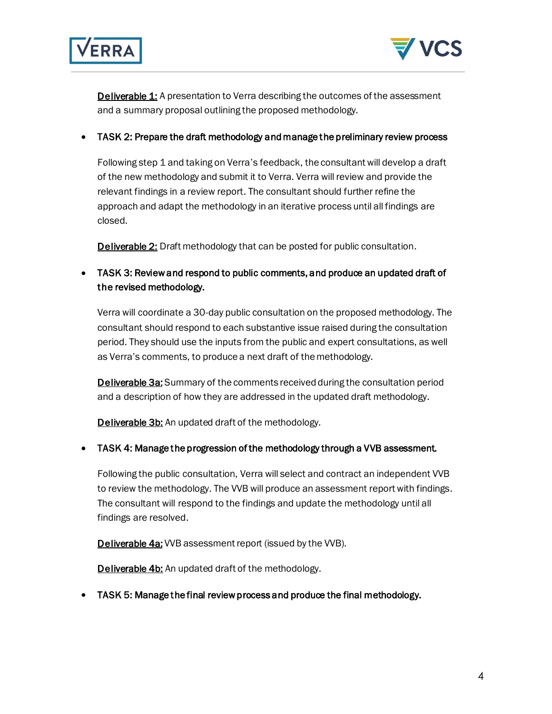



**Deliverable 1:** A presentation to Verra describing the outcomes of the assessment and a summary proposal outlining the proposed methodology.

• TASK 2: Prepare the draft methodology and manage the preliminary review process

Following step 1 and taking on Verra's feedback, the consultant will develop a draft of the new methodology and submit it to Verra. Verra will review and provide the relevant findings in a review report. The consultant should further refine the approach and adapt the methodology in an iterative process until all findings are closed.

**Deliverable 2:** Draft methodology that can be posted for public consultation.

• TASK 3: Review and respond to public comments, and produce an updated draft of the revised methodology.

Verra will coordinate a 30-day public consultation on the proposed methodology. The consultant should respond to each substantive issue raised during the consultation period. They should use the inputs from the public and expert consultations, as well as Verra's comments, to produce a next draft of the methodology.

**Deliverable 3a:** Summary of the comments received during the consultation period and a description of how they are addressed in the updated draft methodology.

**Deliverable 3b:** An updated draft of the methodology.

• TASK 4: Manage the progression of the methodology through a VVB assessment.

Following the public consultation, Verra will select and contract an independent VVB to review the methodology. The VVB will produce an assessment report with findings. The consultant will respond to the findings and update the methodology until all findings are resolved.

**Deliverable 4a:** VVB assessment report (issued by the VVB).

**Deliverable 4b:** An updated draft of the methodology.

• TASK 5: Manage the final review process and produce the final methodology.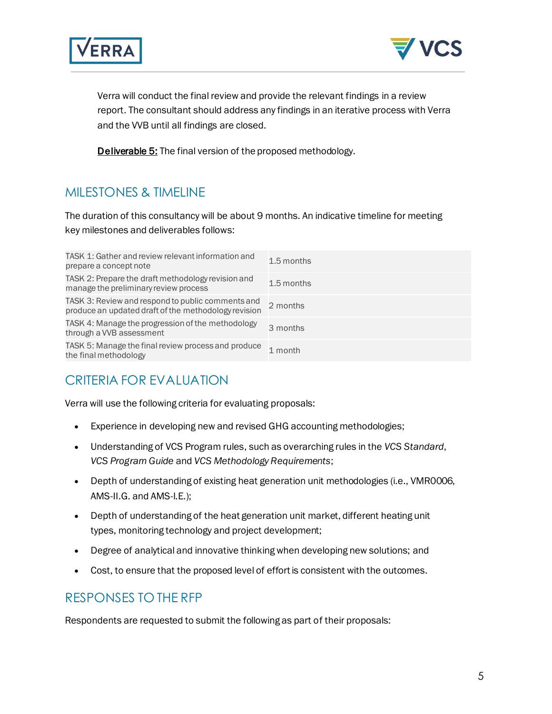



Verra will conduct the final review and provide the relevant findings in a review report. The consultant should address any findings in an iterative process with Verra and the VVB until all findings are closed.

**Deliverable 5:** The final version of the proposed methodology.

#### MILESTONES & TIMELINE

The duration of this consultancy will be about 9 months. An indicative timeline for meeting key milestones and deliverables follows:

| TASK 1: Gather and review relevant information and<br>prepare a concept note                              | 1.5 months |
|-----------------------------------------------------------------------------------------------------------|------------|
| TASK 2: Prepare the draft methodology revision and<br>manage the preliminary review process               | 1.5 months |
| TASK 3: Review and respond to public comments and<br>produce an updated draft of the methodology revision | 2 months   |
| TASK 4: Manage the progression of the methodology<br>through a VVB assessment                             | 3 months   |
| TASK 5: Manage the final review process and produce<br>the final methodology                              | 1 month    |

#### CRITERIA FOR EVALUATION

Verra will use the following criteria for evaluating proposals:

- Experience in developing new and revised GHG accounting methodologies;
- Understanding of VCS Program rules, such as overarching rules in the *VCS Standard*, *VCS Program Guide* and *VCS Methodology Requirements*;
- Depth of understanding of existing heat generation unit methodologies (i.e., VMR0006, AMS-II.G. and AMS-I.E.);
- Depth of understanding of the heat generation unit market, different heating unit types, monitoring technology and project development;
- Degree of analytical and innovative thinking when developing new solutions; and
- Cost, to ensure that the proposed level of effort is consistent with the outcomes.

#### RESPONSES TO THE RFP

Respondents are requested to submit the following as part of their proposals: